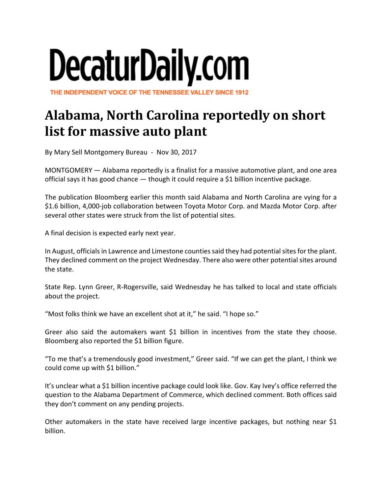## DecaturDaily.com

THE INDEPENDENT VOICE OF THE TENNESSEE VALLEY SINCE 1912

## **Alabama, North Carolina reportedly on short list for massive auto plant**

By Mary Sell Montgomery Bureau ‐ Nov 30, 2017

MONTGOMERY — Alabama reportedly is a finalist for a massive automotive plant, and one area official says it has good chance — though it could require a \$1 billion incentive package.

The publication Bloomberg earlier this month said Alabama and North Carolina are vying for a \$1.6 billion, 4,000-job collaboration between Toyota Motor Corp. and Mazda Motor Corp. after several other states were struck from the list of potential sites.

A final decision is expected early next year.

In August, officials in Lawrence and Limestone counties said they had potential sites for the plant. They declined comment on the project Wednesday. There also were other potential sites around the state.

State Rep. Lynn Greer, R‐Rogersville, said Wednesday he has talked to local and state officials about the project.

"Most folks think we have an excellent shot at it," he said. "I hope so."

Greer also said the automakers want \$1 billion in incentives from the state they choose. Bloomberg also reported the \$1 billion figure.

"To me that's a tremendously good investment," Greer said. "If we can get the plant, I think we could come up with \$1 billion."

It's unclear what a \$1 billion incentive package could look like. Gov. Kay Ivey's office referred the question to the Alabama Department of Commerce, which declined comment. Both offices said they don't comment on any pending projects.

Other automakers in the state have received large incentive packages, but nothing near \$1 billion.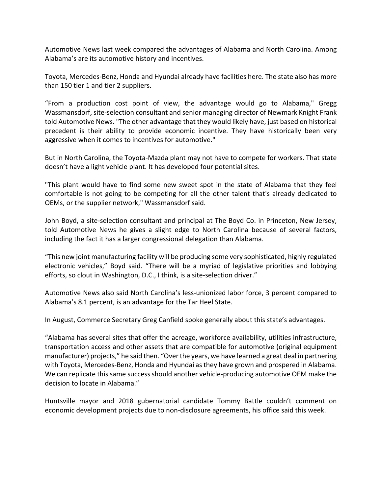Automotive News last week compared the advantages of Alabama and North Carolina. Among Alabama's are its automotive history and incentives.

Toyota, Mercedes‐Benz, Honda and Hyundai already have facilities here. The state also has more than 150 tier 1 and tier 2 suppliers.

"From a production cost point of view, the advantage would go to Alabama," Gregg Wassmansdorf, site‐selection consultant and senior managing director of Newmark Knight Frank told Automotive News. "The other advantage that they would likely have, just based on historical precedent is their ability to provide economic incentive. They have historically been very aggressive when it comes to incentives for automotive."

But in North Carolina, the Toyota‐Mazda plant may not have to compete for workers. That state doesn't have a light vehicle plant. It has developed four potential sites.

"This plant would have to find some new sweet spot in the state of Alabama that they feel comfortable is not going to be competing for all the other talent that's already dedicated to OEMs, or the supplier network," Wassmansdorf said.

John Boyd, a site-selection consultant and principal at The Boyd Co. in Princeton, New Jersey, told Automotive News he gives a slight edge to North Carolina because of several factors, including the fact it has a larger congressional delegation than Alabama.

"This new joint manufacturing facility will be producing some very sophisticated, highly regulated electronic vehicles," Boyd said. "There will be a myriad of legislative priorities and lobbying efforts, so clout in Washington, D.C., I think, is a site-selection driver."

Automotive News also said North Carolina's less-unionized labor force, 3 percent compared to Alabama's 8.1 percent, is an advantage for the Tar Heel State.

In August, Commerce Secretary Greg Canfield spoke generally about this state's advantages.

"Alabama has several sites that offer the acreage, workforce availability, utilities infrastructure, transportation access and other assets that are compatible for automotive (original equipment manufacturer) projects," he said then. "Overthe years, we have learned a great deal in partnering with Toyota, Mercedes‐Benz, Honda and Hyundai asthey have grown and prospered in Alabama. We can replicate this same success should another vehicle-producing automotive OEM make the decision to locate in Alabama."

Huntsville mayor and 2018 gubernatorial candidate Tommy Battle couldn't comment on economic development projects due to non‐disclosure agreements, his office said this week.